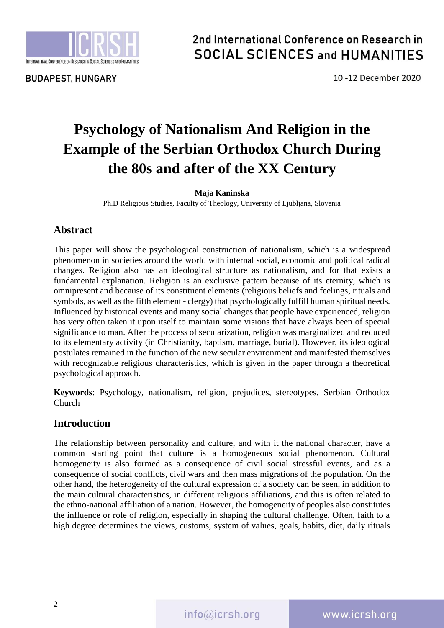

**BUDAPEST, HUNGARY** 

# 2nd International Conference on Research in **SOCIAL SCIENCES and HUMANITIES**

10-12 December 2020

# **Psychology of Nationalism And Religion in the Example of the Serbian Orthodox Church During the 80s and after of the XX Century**

### **Maja Kaninska**

Ph.D Religious Studies, Faculty of Theology, University of Ljubljana, Slovenia

## **Abstract**

This paper will show the psychological construction of nationalism, which is a widespread phenomenon in societies around the world with internal social, economic and political radical changes. Religion also has an ideological structure as nationalism, and for that exists a fundamental explanation. Religion is an exclusive pattern because of its eternity, which is omnipresent and because of its constituent elements (religious beliefs and feelings, rituals and symbols, as well as the fifth element - clergy) that psychologically fulfill human spiritual needs. Influenced by historical events and many social changes that people have experienced, religion has very often taken it upon itself to maintain some visions that have always been of special significance to man. After the process of secularization, religion was marginalized and reduced to its elementary activity (in Christianity, baptism, marriage, burial). However, its ideological postulates remained in the function of the new secular environment and manifested themselves with recognizable religious characteristics, which is given in the paper through a theoretical psychological approach.

**Keywords**: Psychology, nationalism, religion, prejudices, stereotypes, Serbian Orthodox Church

# **Introduction**

The relationship between personality and culture, and with it the national character, have a common starting point that culture is a homogeneous social phenomenon. Cultural homogeneity is also formed as a consequence of civil social stressful events, and as a consequence of social conflicts, civil wars and then mass migrations of the population. On the other hand, the heterogeneity of the cultural expression of a society can be seen, in addition to the main cultural characteristics, in different religious affiliations, and this is often related to the ethno-national affiliation of a nation. However, the homogeneity of peoples also constitutes the influence or role of religion, especially in shaping the cultural challenge. Often, faith to a high degree determines the views, customs, system of values, goals, habits, diet, daily rituals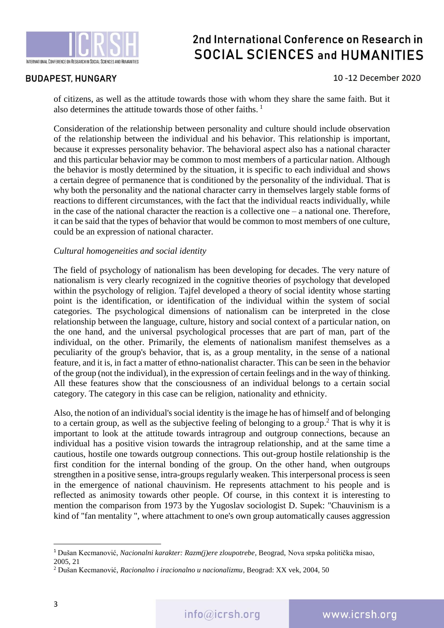

### **BUDAPEST, HUNGARY**

#### 10-12 December 2020

of citizens, as well as the attitude towards those with whom they share the same faith. But it also determines the attitude towards those of other faiths.<sup>1</sup>

Consideration of the relationship between personality and culture should include observation of the relationship between the individual and his behavior. This relationship is important, because it expresses personality behavior. The behavioral aspect also has a national character and this particular behavior may be common to most members of a particular nation. Although the behavior is mostly determined by the situation, it is specific to each individual and shows a certain degree of permanence that is conditioned by the personality of the individual. That is why both the personality and the national character carry in themselves largely stable forms of reactions to different circumstances, with the fact that the individual reacts individually, while in the case of the national character the reaction is a collective one – a national one. Therefore, it can be said that the types of behavior that would be common to most members of one culture, could be an expression of national character.

#### *Cultural homogeneities and social identity*

The field of psychology of nationalism has been developing for decades. The very nature of nationalism is very clearly recognized in the cognitive theories of psychology that developed within the psychology of religion. Tajfel developed a theory of social identity whose starting point is the identification, or identification of the individual within the system of social categories. The psychological dimensions of nationalism can be interpreted in the close relationship between the language, culture, history and social context of a particular nation, on the one hand, and the universal psychological processes that are part of man, part of the individual, on the other. Primarily, the elements of nationalism manifest themselves as a peculiarity of the group's behavior, that is, as a group mentality, in the sense of a national feature, and it is, in fact a matter of ethno-nationalist character. This can be seen in the behavior of the group (not the individual), in the expression of certain feelings and in the way of thinking. All these features show that the consciousness of an individual belongs to a certain social category. The category in this case can be religion, nationality and ethnicity.

Also, the notion of an individual's social identity is the image he has of himself and of belonging to a certain group, as well as the subjective feeling of belonging to a group. <sup>2</sup> That is why it is important to look at the attitude towards intragroup and outgroup connections, because an individual has a positive vision towards the intragroup relationship, and at the same time a cautious, hostile one towards outgroup connections. This out-group hostile relationship is the first condition for the internal bonding of the group. On the other hand, when outgroups strengthen in a positive sense, intra-groups regularly weaken. This interpersonal process is seen in the emergence of national chauvinism. He represents attachment to his people and is reflected as animosity towards other people. Of course, in this context it is interesting to mention the comparison from 1973 by the Yugoslav sociologist D. Supek: "Chauvinism is a kind of "fan mentality ", where attachment to one's own group automatically causes aggression

<sup>1</sup> Dušan Kecmanović, *Nacionalni karakter: Razm(j)ere zloupotrebe*, Beograd, Nova srpska politička misao, 2005, 21

<sup>2</sup> Dušan Kecmanović, *Racionalno i iracionalno u nacionalizmu*, Beograd: XX vek, 2004, 50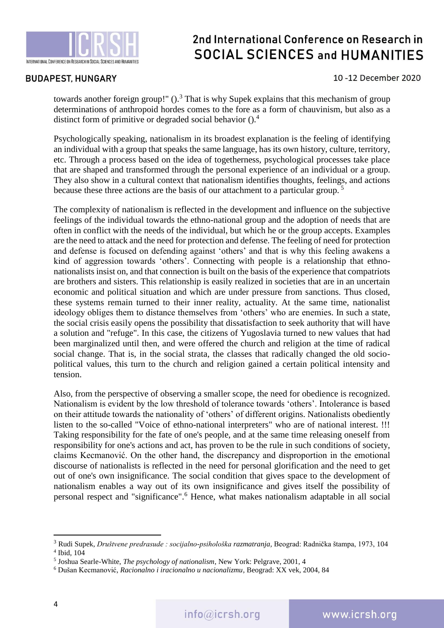

### **BUDAPEST, HUNGARY**

#### 10-12 December 2020

towards another foreign group!"  $()$ <sup>3</sup>. That is why Supek explains that this mechanism of group determinations of anthropoid hordes comes to the fore as a form of chauvinism, but also as a distinct form of primitive or degraded social behavior  $()$ .<sup>4</sup>

Psychologically speaking, nationalism in its broadest explanation is the feeling of identifying an individual with a group that speaks the same language, has its own history, culture, territory, etc. Through a process based on the idea of togetherness, psychological processes take place that are shaped and transformed through the personal experience of an individual or a group. They also show in a cultural context that nationalism identifies thoughts, feelings, and actions because these three actions are the basis of our attachment to a particular group. <sup>5</sup>

The complexity of nationalism is reflected in the development and influence on the subjective feelings of the individual towards the ethno-national group and the adoption of needs that are often in conflict with the needs of the individual, but which he or the group accepts. Examples are the need to attack and the need for protection and defense. The feeling of need for protection and defense is focused on defending against 'others' and that is why this feeling awakens a kind of aggression towards 'others'. Connecting with people is a relationship that ethnonationalists insist on, and that connection is built on the basis of the experience that compatriots are brothers and sisters. This relationship is easily realized in societies that are in an uncertain economic and political situation and which are under pressure from sanctions. Thus closed, these systems remain turned to their inner reality, actuality. At the same time, nationalist ideology obliges them to distance themselves from 'others' who are enemies. In such a state, the social crisis easily opens the possibility that dissatisfaction to seek authority that will have a solution and "refuge". In this case, the citizens of Yugoslavia turned to new values that had been marginalized until then, and were offered the church and religion at the time of radical social change. That is, in the social strata, the classes that radically changed the old sociopolitical values, this turn to the church and religion gained a certain political intensity and tension.

Also, from the perspective of observing a smaller scope, the need for obedience is recognized. Nationalism is evident by the low threshold of tolerance towards 'others'. Intolerance is based on their attitude towards the nationality of 'others' of different origins. Nationalists obediently listen to the so-called "Voice of ethno-national interpreters" who are of national interest. !!! Taking responsibility for the fate of one's people, and at the same time releasing oneself from responsibility for one's actions and act, has proven to be the rule in such conditions of society, claims Kecmanović. On the other hand, the discrepancy and disproportion in the emotional discourse of nationalists is reflected in the need for personal glorification and the need to get out of one's own insignificance. The social condition that gives space to the development of nationalism enables a way out of its own insignificance and gives itself the possibility of personal respect and "significance". <sup>6</sup> Hence, what makes nationalism adaptable in all social

<sup>3</sup> Rudi Supek, *Društvene predrasude : socijalno-psihološka razmatranja,* Beograd: Radnička štampa, 1973, 104 4 Ibid, 104

<sup>5</sup> Joshua Searle-White, *The psychology of nationalism*, New York: Pelgrave, 2001, 4

<sup>6</sup> Dušan Kecmanović, *Racionalno i iracionalno u nacionalizmu*, Beograd: XX vek, 2004, 84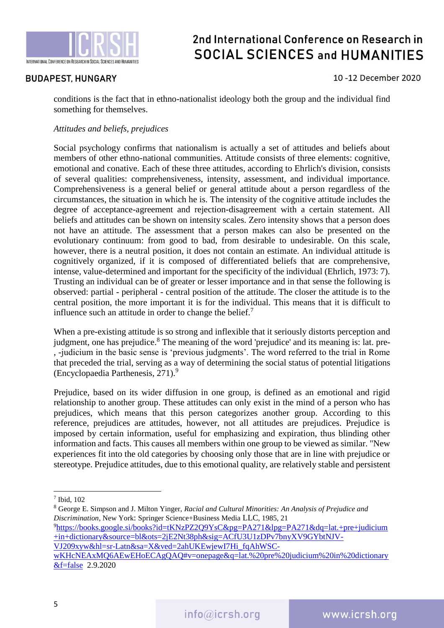

### **BUDAPEST, HUNGARY**

### 10-12 December 2020

conditions is the fact that in ethno-nationalist ideology both the group and the individual find something for themselves.

#### *Attitudes and beliefs, prejudices*

Social psychology confirms that nationalism is actually a set of attitudes and beliefs about members of other ethno-national communities. Attitude consists of three elements: cognitive, emotional and conative. Each of these three attitudes, according to Ehrlich's division, consists of several qualities: comprehensiveness, intensity, assessment, and individual importance. Comprehensiveness is a general belief or general attitude about a person regardless of the circumstances, the situation in which he is. The intensity of the cognitive attitude includes the degree of acceptance-agreement and rejection-disagreement with a certain statement. All beliefs and attitudes can be shown on intensity scales. Zero intensity shows that a person does not have an attitude. The assessment that a person makes can also be presented on the evolutionary continuum: from good to bad, from desirable to undesirable. On this scale, however, there is a neutral position, it does not contain an estimate. An individual attitude is cognitively organized, if it is composed of differentiated beliefs that are comprehensive, intense, value-determined and important for the specificity of the individual (Ehrlich, 1973: 7). Trusting an individual can be of greater or lesser importance and in that sense the following is observed: partial - peripheral - central position of the attitude. The closer the attitude is to the central position, the more important it is for the individual. This means that it is difficult to influence such an attitude in order to change the belief.<sup>7</sup>

When a pre-existing attitude is so strong and inflexible that it seriously distorts perception and judgment, one has prejudice.<sup>8</sup> The meaning of the word 'prejudice' and its meaning is: lat. pre-, -judicium in the basic sense is 'previous judgments'. The word referred to the trial in Rome that preceded the trial, serving as a way of determining the social status of potential litigations (Encyclopaedia Parthenesis, 271).<sup>9</sup>

Prejudice, based on its wider diffusion in one group, is defined as an emotional and rigid relationship to another group. These attitudes can only exist in the mind of a person who has prejudices, which means that this person categorizes another group. According to this reference, prejudices are attitudes, however, not all attitudes are prejudices. Prejudice is imposed by certain information, useful for emphasizing and expiration, thus blinding other information and facts. This causes all members within one group to be viewed as similar. "New experiences fit into the old categories by choosing only those that are in line with prejudice or stereotype. Prejudice attitudes, due to this emotional quality, are relatively stable and persistent

**.** 

<sup>9</sup>[https://books.google.si/books?id=tKNzPZ2Q9YsC&pg=PA271&lpg=PA271&dq=lat.+pre+judicium](https://books.google.si/books?id=tKNzPZ2Q9YsC&pg=PA271&lpg=PA271&dq=lat.+pre+judicium+in+dictionary&source=bl&ots=2jE2Nt38ph&sig=ACfU3U1zDPv7bnyXV9GYbtNJV-VJ209xyw&hl=sr-Latn&sa=X&ved=2ahUKEwjewI7Hi_fqAhWSC-wKHcNEAxMQ6AEwEHoECAgQAQ#v=onepage&q=lat.%20pre%20judicium%20in%20dictionary&f=false) [+in+dictionary&source=bl&ots=2jE2Nt38ph&sig=ACfU3U1zDPv7bnyXV9GYbtNJV-](https://books.google.si/books?id=tKNzPZ2Q9YsC&pg=PA271&lpg=PA271&dq=lat.+pre+judicium+in+dictionary&source=bl&ots=2jE2Nt38ph&sig=ACfU3U1zDPv7bnyXV9GYbtNJV-VJ209xyw&hl=sr-Latn&sa=X&ved=2ahUKEwjewI7Hi_fqAhWSC-wKHcNEAxMQ6AEwEHoECAgQAQ#v=onepage&q=lat.%20pre%20judicium%20in%20dictionary&f=false)[VJ209xyw&hl=sr-Latn&sa=X&ved=2ahUKEwjewI7Hi\\_fqAhWSC-](https://books.google.si/books?id=tKNzPZ2Q9YsC&pg=PA271&lpg=PA271&dq=lat.+pre+judicium+in+dictionary&source=bl&ots=2jE2Nt38ph&sig=ACfU3U1zDPv7bnyXV9GYbtNJV-VJ209xyw&hl=sr-Latn&sa=X&ved=2ahUKEwjewI7Hi_fqAhWSC-wKHcNEAxMQ6AEwEHoECAgQAQ#v=onepage&q=lat.%20pre%20judicium%20in%20dictionary&f=false)

[wKHcNEAxMQ6AEwEHoECAgQAQ#v=onepage&q=lat.%20pre%20judicium%20in%20dictionary](https://books.google.si/books?id=tKNzPZ2Q9YsC&pg=PA271&lpg=PA271&dq=lat.+pre+judicium+in+dictionary&source=bl&ots=2jE2Nt38ph&sig=ACfU3U1zDPv7bnyXV9GYbtNJV-VJ209xyw&hl=sr-Latn&sa=X&ved=2ahUKEwjewI7Hi_fqAhWSC-wKHcNEAxMQ6AEwEHoECAgQAQ#v=onepage&q=lat.%20pre%20judicium%20in%20dictionary&f=false) [&f=false](https://books.google.si/books?id=tKNzPZ2Q9YsC&pg=PA271&lpg=PA271&dq=lat.+pre+judicium+in+dictionary&source=bl&ots=2jE2Nt38ph&sig=ACfU3U1zDPv7bnyXV9GYbtNJV-VJ209xyw&hl=sr-Latn&sa=X&ved=2ahUKEwjewI7Hi_fqAhWSC-wKHcNEAxMQ6AEwEHoECAgQAQ#v=onepage&q=lat.%20pre%20judicium%20in%20dictionary&f=false) 2.9.2020

<sup>7</sup> Ibid, 102

<sup>8</sup> George E. Simpson and J. Milton Yinger, *Racial and Cultural Minorities: An Analysis of Prejudice and Discrimination*, New York: Springer Science+Business Media LLC, 1985, 21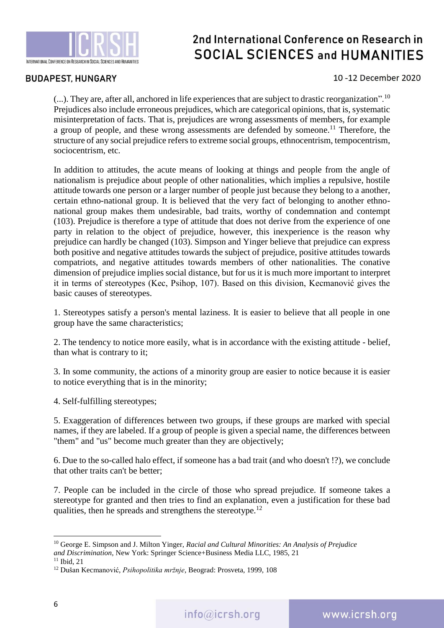

### **BUDAPEST, HUNGARY**

### 10-12 December 2020

(...). They are, after all, anchored in life experiences that are subject to drastic reorganization".<sup>10</sup> Prejudices also include erroneous prejudices, which are categorical opinions, that is, systematic misinterpretation of facts. That is, prejudices are wrong assessments of members, for example a group of people, and these wrong assessments are defended by someone.<sup>11</sup> Therefore, the structure of any social prejudice refers to extreme social groups, ethnocentrism, tempocentrism, sociocentrism, etc.

In addition to attitudes, the acute means of looking at things and people from the angle of nationalism is prejudice about people of other nationalities, which implies a repulsive, hostile attitude towards one person or a larger number of people just because they belong to a another, certain ethno-national group. It is believed that the very fact of belonging to another ethnonational group makes them undesirable, bad traits, worthy of condemnation and contempt (103). Prejudice is therefore a type of attitude that does not derive from the experience of one party in relation to the object of prejudice, however, this inexperience is the reason why prejudice can hardly be changed (103). Simpson and Yinger believe that prejudice can express both positive and negative attitudes towards the subject of prejudice, positive attitudes towards compatriots, and negative attitudes towards members of other nationalities. The conative dimension of prejudice implies social distance, but for us it is much more important to interpret it in terms of stereotypes (Kec, Psihop, 107). Based on this division, Kecmanović gives the basic causes of stereotypes.

1. Stereotypes satisfy a person's mental laziness. It is easier to believe that all people in one group have the same characteristics;

2. The tendency to notice more easily, what is in accordance with the existing attitude - belief, than what is contrary to it;

3. In some community, the actions of a minority group are easier to notice because it is easier to notice everything that is in the minority;

4. Self-fulfilling stereotypes;

5. Exaggeration of differences between two groups, if these groups are marked with special names, if they are labeled. If a group of people is given a special name, the differences between "them" and "us" become much greater than they are objectively;

6. Due to the so-called halo effect, if someone has a bad trait (and who doesn't !?), we conclude that other traits can't be better;

7. People can be included in the circle of those who spread prejudice. If someone takes a stereotype for granted and then tries to find an explanation, even a justification for these bad qualities, then he spreads and strengthens the stereotype.<sup>12</sup>

<sup>10</sup> George E. Simpson and J. Milton Yinger, *Racial and Cultural Minorities: An Analysis of Prejudice and Discrimination*, New York: Springer Science+Business Media LLC, 1985, 21

<sup>11</sup> Ibid, 21

<sup>12</sup> Dušan Kecmanović, *Psihopolitika mržnje*, Beograd: Prosveta, 1999, 108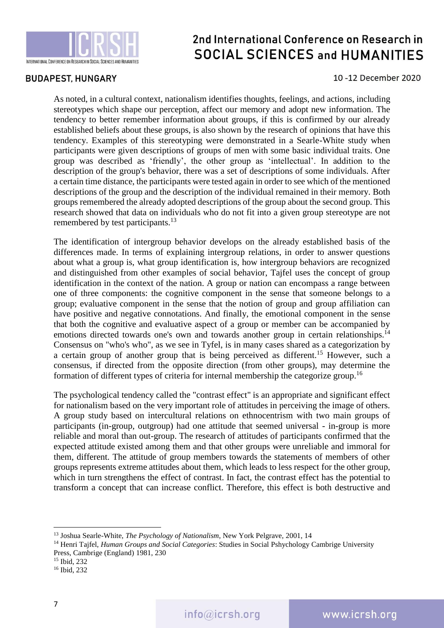

### **BUDAPEST, HUNGARY**

#### 10-12 December 2020

As noted, in a cultural context, nationalism identifies thoughts, feelings, and actions, including stereotypes which shape our perception, affect our memory and adopt new information. The tendency to better remember information about groups, if this is confirmed by our already established beliefs about these groups, is also shown by the research of opinions that have this tendency. Examples of this stereotyping were demonstrated in a Searle-White study when participants were given descriptions of groups of men with some basic individual traits. One group was described as 'friendly', the other group as 'intellectual'. In addition to the description of the group's behavior, there was a set of descriptions of some individuals. After a certain time distance, the participants were tested again in order to see which of the mentioned descriptions of the group and the description of the individual remained in their memory. Both groups remembered the already adopted descriptions of the group about the second group. This research showed that data on individuals who do not fit into a given group stereotype are not remembered by test participants.<sup>13</sup>

The identification of intergroup behavior develops on the already established basis of the differences made. In terms of explaining intergroup relations, in order to answer questions about what a group is, what group identification is, how intergroup behaviors are recognized and distinguished from other examples of social behavior, Tajfel uses the concept of group identification in the context of the nation. A group or nation can encompass a range between one of three components: the cognitive component in the sense that someone belongs to a group; evaluative component in the sense that the notion of group and group affiliation can have positive and negative connotations. And finally, the emotional component in the sense that both the cognitive and evaluative aspect of a group or member can be accompanied by emotions directed towards one's own and towards another group in certain relationships.<sup>14</sup> Consensus on "who's who", as we see in Tyfel, is in many cases shared as a categorization by a certain group of another group that is being perceived as different.<sup>15</sup> However, such a consensus, if directed from the opposite direction (from other groups), may determine the formation of different types of criteria for internal membership the categorize group.<sup>16</sup>

The psychological tendency called the "contrast effect" is an appropriate and significant effect for nationalism based on the very important role of attitudes in perceiving the image of others. A group study based on intercultural relations on ethnocentrism with two main groups of participants (in-group, outgroup) had one attitude that seemed universal - in-group is more reliable and moral than out-group. The research of attitudes of participants confirmed that the expected attitude existed among them and that other groups were unreliable and immoral for them, different. The attitude of group members towards the statements of members of other groups represents extreme attitudes about them, which leads to less respect for the other group, which in turn strengthens the effect of contrast. In fact, the contrast effect has the potential to transform a concept that can increase conflict. Therefore, this effect is both destructive and

<sup>13</sup> Joshua Searle-White, *The Psychology of Nationalism*, New York Pelgrave, 2001, 14

<sup>14</sup> Henri Tajfel, *Human Groups and Social Categories*: Studies in Social Pshychology Cambrige University Press, Cambrige (England) 1981, 230

<sup>15</sup> Ibid, 232

<sup>16</sup> Ibid, 232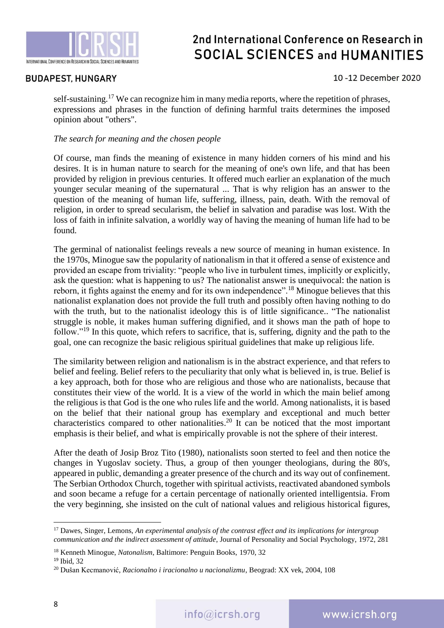

### **BUDAPEST, HUNGARY**

### 10-12 December 2020

self-sustaining.<sup>17</sup> We can recognize him in many media reports, where the repetition of phrases, expressions and phrases in the function of defining harmful traits determines the imposed opinion about "others".

### *The search for meaning and the chosen people*

Of course, man finds the meaning of existence in many hidden corners of his mind and his desires. It is in human nature to search for the meaning of one's own life, and that has been provided by religion in previous centuries. It offered much earlier an explanation of the much younger secular meaning of the supernatural ... That is why religion has an answer to the question of the meaning of human life, suffering, illness, pain, death. With the removal of religion, in order to spread secularism, the belief in salvation and paradise was lost. With the loss of faith in infinite salvation, a worldly way of having the meaning of human life had to be found.

The germinal of nationalist feelings reveals a new source of meaning in human existence. In the 1970s, Minogue saw the popularity of nationalism in that it offered a sense of existence and provided an escape from triviality: "people who live in turbulent times, implicitly or explicitly, ask the question: what is happening to us? The nationalist answer is unequivocal: the nation is reborn, it fights against the enemy and for its own independence".<sup>18</sup> Minogue believes that this nationalist explanation does not provide the full truth and possibly often having nothing to do with the truth, but to the nationalist ideology this is of little significance.. "The nationalist struggle is noble, it makes human suffering dignified, and it shows man the path of hope to follow."<sup>19</sup> In this quote, which refers to sacrifice, that is, suffering, dignity and the path to the goal, one can recognize the basic religious spiritual guidelines that make up religious life.

The similarity between religion and nationalism is in the abstract experience, and that refers to belief and feeling. Belief refers to the peculiarity that only what is believed in, is true. Belief is a key approach, both for those who are religious and those who are nationalists, because that constitutes their view of the world. It is a view of the world in which the main belief among the religious is that God is the one who rules life and the world. Among nationalists, it is based on the belief that their national group has exemplary and exceptional and much better characteristics compared to other nationalities.<sup>20</sup> It can be noticed that the most important emphasis is their belief, and what is empirically provable is not the sphere of their interest.

After the death of Josip Broz Tito (1980), nationalists soon sterted to feel and then notice the changes in Yugoslav society. Thus, a group of then younger theologians, during the 80's, appeared in public, demanding a greater presence of the church and its way out of confinement. The Serbian Orthodox Church, together with spiritual activists, reactivated abandoned symbols and soon became a refuge for a certain percentage of nationally oriented intelligentsia. From the very beginning, she insisted on the cult of national values and religious historical figures,

<sup>17</sup> Dawes, Singer, Lemons, *An experimental analysis of the contrast effect and its implications for intergroup communication and the indirect assessment of attitude*, Journal of Personality and Social Psychology, 1972, 281

<sup>18</sup> Kenneth Minogue, *Natonalism*, Baltimore: Penguin Books, 1970, 32

<sup>19</sup> Ibid, 32

<sup>20</sup> Dušan Kecmanović, *Racionalno i iracionalno u nacionalizmu*, Beograd: XX vek, 2004, 108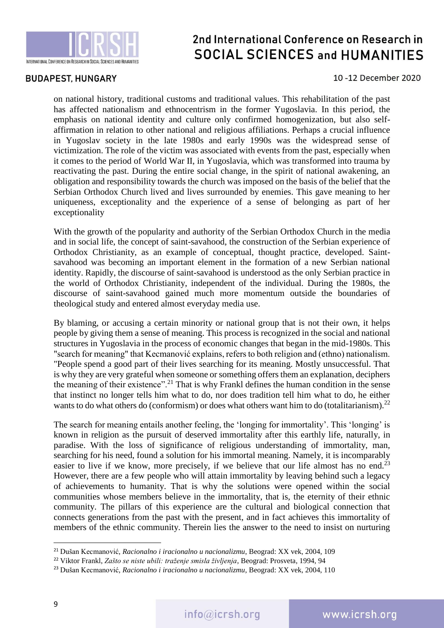

### **BUDAPEST, HUNGARY**

10-12 December 2020

on national history, traditional customs and traditional values. This rehabilitation of the past has affected nationalism and ethnocentrism in the former Yugoslavia. In this period, the emphasis on national identity and culture only confirmed homogenization, but also selfaffirmation in relation to other national and religious affiliations. Perhaps a crucial influence in Yugoslav society in the late 1980s and early 1990s was the widespread sense of victimization. The role of the victim was associated with events from the past, especially when it comes to the period of World War II, in Yugoslavia, which was transformed into trauma by reactivating the past. During the entire social change, in the spirit of national awakening, an obligation and responsibility towards the church was imposed on the basis of the belief that the Serbian Orthodox Church lived and lives surrounded by enemies. This gave meaning to her uniqueness, exceptionality and the experience of a sense of belonging as part of her exceptionality

With the growth of the popularity and authority of the Serbian Orthodox Church in the media and in social life, the concept of saint-savahood, the construction of the Serbian experience of Orthodox Christianity, as an example of conceptual, thought practice, developed. Saintsavahood was becoming an important element in the formation of a new Serbian national identity. Rapidly, the discourse of saint-savahood is understood as the only Serbian practice in the world of Orthodox Christianity, independent of the individual. During the 1980s, the discourse of saint-savahood gained much more momentum outside the boundaries of theological study and entered almost everyday media use.

By blaming, or accusing a certain minority or national group that is not their own, it helps people by giving them a sense of meaning. This process is recognized in the social and national structures in Yugoslavia in the process of economic changes that began in the mid-1980s. This "search for meaning" that Kecmanović explains, refers to both religion and (ethno) nationalism. "People spend a good part of their lives searching for its meaning. Mostly unsuccessful. That is why they are very grateful when someone or something offers them an explanation, deciphers the meaning of their existence".<sup>21</sup> That is why Frankl defines the human condition in the sense that instinct no longer tells him what to do, nor does tradition tell him what to do, he either wants to do what others do (conformism) or does what others want him to do (totalitarianism).<sup>22</sup>

The search for meaning entails another feeling, the 'longing for immortality'. This 'longing' is known in religion as the pursuit of deserved immortality after this earthly life, naturally, in paradise. With the loss of significance of religious understanding of immortality, man, searching for his need, found a solution for his immortal meaning. Namely, it is incomparably easier to live if we know, more precisely, if we believe that our life almost has no end.<sup>23</sup> However, there are a few people who will attain immortality by leaving behind such a legacy of achievements to humanity. That is why the solutions were opened within the social communities whose members believe in the immortality, that is, the eternity of their ethnic community. The pillars of this experience are the cultural and biological connection that connects generations from the past with the present, and in fact achieves this immortality of members of the ethnic community. Therein lies the answer to the need to insist on nurturing

<sup>21</sup> Dušan Kecmanović, *Racionalno i iracionalno u nacionalizmu*, Beograd: XX vek, 2004, 109

<sup>22</sup> Viktor Frankl, *Zašto se niste ubili: traženje smisla življenja*, Beograd: Prosveta, 1994, 94

<sup>23</sup> Dušan Kecmanović, *Racionalno i iracionalno u nacionalizmu*, Beograd: XX vek, 2004, 110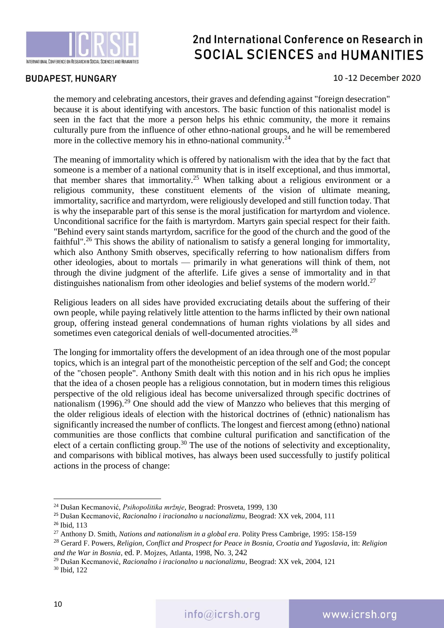

### **BUDAPEST, HUNGARY**

10-12 December 2020

the memory and celebrating ancestors, their graves and defending against "foreign desecration" because it is about identifying with ancestors. The basic function of this nationalist model is seen in the fact that the more a person helps his ethnic community, the more it remains culturally pure from the influence of other ethno-national groups, and he will be remembered more in the collective memory his in ethno-national community.<sup>24</sup>

The meaning of immortality which is offered by nationalism with the idea that by the fact that someone is a member of a national community that is in itself exceptional, and thus immortal, that member shares that immortality.<sup>25</sup> When talking about a religious environment or a religious community, these constituent elements of the vision of ultimate meaning, immortality, sacrifice and martyrdom, were religiously developed and still function today. That is why the inseparable part of this sense is the moral justification for martyrdom and violence. Unconditional sacrifice for the faith is martyrdom. Martyrs gain special respect for their faith. "Behind every saint stands martyrdom, sacrifice for the good of the church and the good of the faithful".<sup>26</sup> This shows the ability of nationalism to satisfy a general longing for immortality, which also Anthony Smith observes, specifically referring to how nationalism differs from other ideologies, about to mortals — primarily in what generations will think of them, not through the divine judgment of the afterlife. Life gives a sense of immortality and in that distinguishes nationalism from other ideologies and belief systems of the modern world.<sup>27</sup>

Religious leaders on all sides have provided excruciating details about the suffering of their own people, while paying relatively little attention to the harms inflicted by their own national group, offering instead general condemnations of human rights violations by all sides and sometimes even categorical denials of well-documented atrocities.<sup>28</sup>

The longing for immortality offers the development of an idea through one of the most popular topics, which is an integral part of the monotheistic perception of the self and God; the concept of the "chosen people". Anthony Smith dealt with this notion and in his rich opus he implies that the idea of a chosen people has a religious connotation, but in modern times this religious perspective of the old religious ideal has become universalized through specific doctrines of nationalism (1996).<sup>29</sup> One should add the view of Manzzo who believes that this merging of the older religious ideals of election with the historical doctrines of (ethnic) nationalism has significantly increased the number of conflicts. The longest and fiercest among (ethno) national communities are those conflicts that combine cultural purification and sanctification of the elect of a certain conflicting group.<sup>30</sup> The use of the notions of selectivity and exceptionality, and comparisons with biblical motives, has always been used successfully to justify political actions in the process of change:

1

<sup>30</sup> Ibid, 122

<sup>24</sup> Dušan Kecmanović, *Psihopolitika mržnje*, Beograd: Prosveta, 1999, 130

<sup>25</sup> Dušan Kecmanović, *Racionalno i iracionalno u nacionalizmu*, Beograd: XX vek, 2004, 111

<sup>26</sup> Ibid, 113

<sup>27</sup> Anthony D. Smith, *Nations and nationalism in a global era*. Polity Press Cambrige, 1995: 158-159

<sup>28</sup> Gerard F. Powers, *Religion, Conflict and Prospect for Peace in Bosnia, Croatia and Yugoslavia*, in: *Religion and the War in Bosnia*, ed. P. Mojzes, Atlanta, 1998, No. 3, 242

<sup>29</sup> Dušan Kecmanović, *Racionalno i iracionalno u nacionalizmu*, Beograd: XX vek, 2004, 121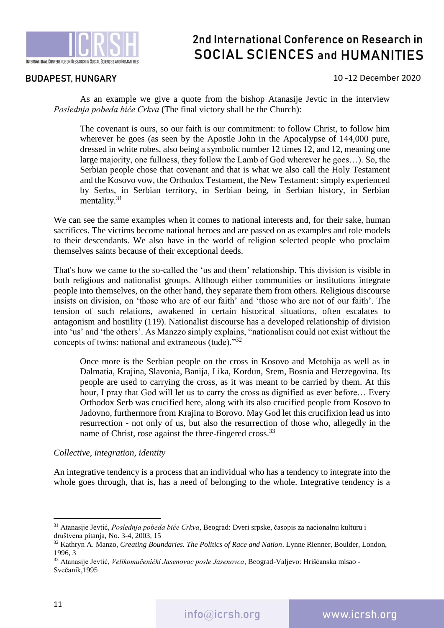

### **BUDAPEST, HUNGARY**

#### 10-12 December 2020

As an example we give a quote from the bishop Atanasije Jevtic in the interview *Poslednja pobeda biće Crkva* (The final victory shall be the Church):

The covenant is ours, so our faith is our commitment: to follow Christ, to follow him wherever he goes (as seen by the Apostle John in the Apocalypse of 144,000 pure, dressed in white robes, also being a symbolic number 12 times 12, and 12, meaning one large majority, one fullness, they follow the Lamb of God wherever he goes…). So, the Serbian people chose that covenant and that is what we also call the Holy Testament and the Kosovo vow, the Orthodox Testament, the New Testament: simply experienced by Serbs, in Serbian territory, in Serbian being, in Serbian history, in Serbian mentality. $31$ 

We can see the same examples when it comes to national interests and, for their sake, human sacrifices. The victims become national heroes and are passed on as examples and role models to their descendants. We also have in the world of religion selected people who proclaim themselves saints because of their exceptional deeds.

That's how we came to the so-called the 'us and them' relationship. This division is visible in both religious and nationalist groups. Although either communities or institutions integrate people into themselves, on the other hand, they separate them from others. Religious discourse insists on division, on 'those who are of our faith' and 'those who are not of our faith'. The tension of such relations, awakened in certain historical situations, often escalates to antagonism and hostility (119). Nationalist discourse has a developed relationship of division into 'us' and 'the others'. As Manzzo simply explains, "nationalism could not exist without the concepts of twins: national and extraneous (tuđe)."32

Once more is the Serbian people on the cross in Kosovo and Metohija as well as in Dalmatia, Krajina, Slavonia, Banija, Lika, Kordun, Srem, Bosnia and Herzegovina. Its people are used to carrying the cross, as it was meant to be carried by them. At this hour, I pray that God will let us to carry the cross as dignified as ever before... Every Orthodox Serb was crucified here, along with its also crucified people from Kosovo to Jadovno, furthermore from Krajina to Borovo. May God let this crucifixion lead us into resurrection - not only of us, but also the resurrection of those who, allegedly in the name of Christ, rose against the three-fingered cross.<sup>33</sup>

#### *Collective, integration, identity*

An integrative tendency is a process that an individual who has a tendency to integrate into the whole goes through, that is, has a need of belonging to the whole. Integrative tendency is a

1

<sup>31</sup> Atanasije Jevtić, *Poslednja pobeda biće Crkva*, Beograd: Dveri srpske, časopis za nacionalnu kulturu i društvena pitanja, No. 3-4, 2003, 15

<sup>32</sup> Kathryn A. Manzo, *Creating Boundaries. The Politics of Race and Nation*. Lynne Rienner, Boulder, London, 1996, 3

<sup>33</sup> Atanasije Jevtić, *Velikomučenički Jasenovac posle Jasenovca*, Beograd-Valjevo: Hrišćanska misao - Svečanik,1995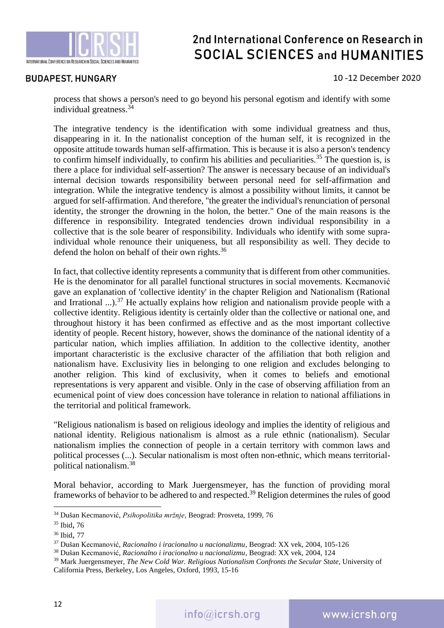

### **BUDAPEST, HUNGARY**

#### 10-12 December 2020

process that shows a person's need to go beyond his personal egotism and identify with some individual greatness. 34

The integrative tendency is the identification with some individual greatness and thus, disappearing in it. In the nationalist conception of the human self, it is recognized in the opposite attitude towards human self-affirmation. This is because it is also a person's tendency to confirm himself individually, to confirm his abilities and peculiarities.<sup>35</sup> The question is, is there a place for individual self-assertion? The answer is necessary because of an individual's internal decision towards responsibility between personal need for self-affirmation and integration. While the integrative tendency is almost a possibility without limits, it cannot be argued for self-affirmation. And therefore, "the greater the individual's renunciation of personal identity, the stronger the drowning in the holon, the better." One of the main reasons is the difference in responsibility. Integrated tendencies drown individual responsibility in a collective that is the sole bearer of responsibility. Individuals who identify with some supraindividual whole renounce their uniqueness, but all responsibility as well. They decide to defend the holon on behalf of their own rights.<sup>36</sup>

In fact, that collective identity represents a community that is different from other communities. He is the denominator for all parallel functional structures in social movements. Kecmanović gave an explanation of 'collective identity' in the chapter Religion and Nationalism (Rational and Irrational ...).<sup>37</sup> He actually explains how religion and nationalism provide people with a collective identity. Religious identity is certainly older than the collective or national one, and throughout history it has been confirmed as effective and as the most important collective identity of people. Recent history, however, shows the dominance of the national identity of a particular nation, which implies affiliation. In addition to the collective identity, another important characteristic is the exclusive character of the affiliation that both religion and nationalism have. Exclusivity lies in belonging to one religion and excludes belonging to another religion. This kind of exclusivity, when it comes to beliefs and emotional representations is very apparent and visible. Only in the case of observing affiliation from an ecumenical point of view does concession have tolerance in relation to national affiliations in the territorial and political framework.

"Religious nationalism is based on religious ideology and implies the identity of religious and national identity. Religious nationalism is almost as a rule ethnic (nationalism). Secular nationalism implies the connection of people in a certain territory with common laws and political processes (...). Secular nationalism is most often non-ethnic, which means territorialpolitical nationalism. 38

Moral behavior, according to Mark Juergensmeyer, has the function of providing moral frameworks of behavior to be adhered to and respected.<sup>39</sup> Religion determines the rules of good

1

<sup>34</sup> Dušan Kecmanović, *Psihopolitika mržnje*, Beograd: Prosveta, 1999, 76

<sup>35</sup> Ibid, 76

<sup>36</sup> Ibid, 77

<sup>37</sup> Dušan Kecmanović, *Racionalno i iracionalno u nacionalizmu*, Beograd: XX vek, 2004, 105-126

<sup>38</sup> Dušan Kecmanović, *Racionalno i iracionalno u nacionalizmu*, Beograd: XX vek, 2004, 124

<sup>39</sup> Mark Juergensmeyer, *The New Cold War. Religious Nationalism Confronts the Secular State*, University of California Press, Berkeley, Los Angeles, Oxford, 1993, 15-16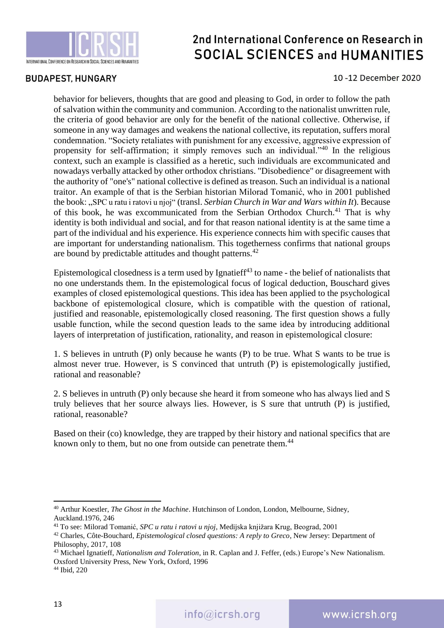

### **BUDAPEST, HUNGARY**

#### 10-12 December 2020

behavior for believers, thoughts that are good and pleasing to God, in order to follow the path of salvation within the community and communion. According to the nationalist unwritten rule, the criteria of good behavior are only for the benefit of the national collective. Otherwise, if someone in any way damages and weakens the national collective, its reputation, suffers moral condemnation. "Society retaliates with punishment for any excessive, aggressive expression of propensity for self-affirmation; it simply removes such an individual."<sup>40</sup> In the religious context, such an example is classified as a heretic, such individuals are excommunicated and nowadays verbally attacked by other orthodox christians. "Disobedience" or disagreement with the authority of "one's" national collective is defined as treason. Such an individual is a national traitor. An example of that is the Serbian historian Milorad Tomanić, who in 2001 published the book: "SPC u ratu i ratovi u njoj" (transl. *Serbian Church in War and Wars within It*). Because of this book, he was excommunicated from the Serbian Orthodox Church.<sup>41</sup> That is why identity is both individual and social, and for that reason national identity is at the same time a part of the individual and his experience. His experience connects him with specific causes that are important for understanding nationalism. This togetherness confirms that national groups are bound by predictable attitudes and thought patterns.<sup>42</sup>

Epistemological closedness is a term used by Ignatief<sup> $43$ </sup> to name - the belief of nationalists that no one understands them. In the epistemological focus of logical deduction, Bouschard gives examples of closed epistemological questions. This idea has been applied to the psychological backbone of epistemological closure, which is compatible with the question of rational, justified and reasonable, epistemologically closed reasoning. The first question shows a fully usable function, while the second question leads to the same idea by introducing additional layers of interpretation of justification, rationality, and reason in epistemological closure:

1. S believes in untruth (P) only because he wants (P) to be true. What S wants to be true is almost never true. However, is S convinced that untruth (P) is epistemologically justified, rational and reasonable?

2. S believes in untruth (P) only because she heard it from someone who has always lied and S truly believes that her source always lies. However, is S sure that untruth (P) is justified, rational, reasonable?

Based on their (co) knowledge, they are trapped by their history and national specifics that are known only to them, but no one from outside can penetrate them.<sup>44</sup>

1

<sup>40</sup> Arthur Koestler, *The Ghost in the Machine*. Hutchinson of London, London, Melbourne, Sidney, Auckland.1976, 246

<sup>41</sup> To see: Milorad Tomanić, *SPC u ratu i ratovi u njoj*, Medijska knjižara Krug, Beograd, 2001

<sup>42</sup> Charles, Côte-Bouchard*, Epistemological closed questions: A reply to Greco*, New Jersey: Department of Philosophy, 2017, 108

<sup>43</sup> Michael Ignatieff, *Nationalism and Toleration*, in R. Caplan and J. Feffer, (eds.) Europe's New Nationalism. Oxsford University Press, New York, Oxford, 1996

<sup>44</sup> Ibid, 220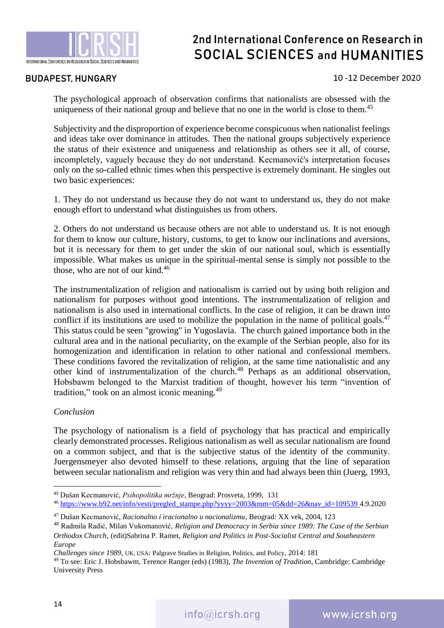

### **BUDAPEST, HUNGARY**

### 10-12 December 2020

The psychological approach of observation confirms that nationalists are obsessed with the uniqueness of their national group and believe that no one in the world is close to them.<sup>45</sup>

Subjectivity and the disproportion of experience become conspicuous when nationalist feelings and ideas take over dominance in attitudes. Then the national groups subjectively experience the status of their existence and uniqueness and relationship as others see it all, of course, incompletely, vaguely because they do not understand. Kecmanović's interpretation focuses only on the so-called ethnic times when this perspective is extremely dominant. He singles out two basic experiences:

1. They do not understand us because they do not want to understand us, they do not make enough effort to understand what distinguishes us from others.

2. Others do not understand us because others are not able to understand us. It is not enough for them to know our culture, history, customs, to get to know our inclinations and aversions, but it is necessary for them to get under the skin of our national soul, which is essentially impossible. What makes us unique in the spiritual-mental sense is simply not possible to the those, who are not of our kind. 46

The instrumentalization of religion and nationalism is carried out by using both religion and nationalism for purposes without good intentions. The instrumentalization of religion and nationalism is also used in international conflicts. In the case of religion, it can be drawn into conflict if its institutions are used to mobilize the population in the name of political goals.<sup>47</sup> This status could be seen "growing" in Yugoslavia. The church gained importance both in the cultural area and in the national peculiarity, on the example of the Serbian people, also for its homogenization and identification in relation to other national and confessional members. These conditions favored the revitalization of religion, at the same time nationalistic and any other kind of instrumentalization of the church.<sup>48</sup> Perhaps as an additional observation, Hobsbawm belonged to the Marxist tradition of thought, however his term "invention of tradition," took on an almost iconic meaning.<sup>49</sup>

#### *Conclusion*

The psychology of nationalism is a field of psychology that has practical and empirically clearly demonstrated processes. Religious nationalism as well as secular nationalism are found on a common subject, and that is the subjective status of the identity of the community. Juergensmeyer also devoted himself to these relations, arguing that the line of separation between secular nationalism and religion was very thin and had always been thin (Juerg, 1993,

 $\overline{a}$ 

<sup>45</sup> Dušan Kecmanović, *Psihopolitika mržnje*, Beograd: Prosveta, 1999, 131

<sup>46</sup> [https://www.b92.net/info/vesti/pregled\\_stampe.php?yyyy=2003&mm=05&dd=26&nav\\_id=109539](https://www.b92.net/info/vesti/pregled_stampe.php?yyyy=2003&mm=05&dd=26&nav_id=109539) 4.9.2020

<sup>47</sup> Dušan Kecmanović, *Racionalno i iracionalno u nacionalizmu*, Beograd: XX vek, 2004, 123

<sup>48</sup> Radmila Radić, Milan Vukomanović, *Religion and Democracy in Serbia since 1989: The Case of the Serbian Orthodox Church*, (edit)Sabrina P. Ramet, *Religion and Politics in Post-Socialist Central and Southeastern Europe*

*Challenges since 1989*, UK, USA: Palgrave Studies in Religion, Politics, and Policy, 2014: 181

<sup>49</sup> To see: Eric J. Hobsbawm, Terence Ranger (eds) (1983), *The Invention of Tradition*, Cambridge: Cambridge University Press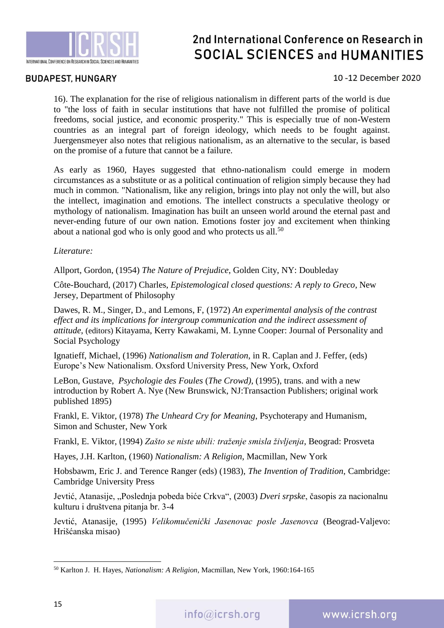

### **BUDAPEST, HUNGARY**

### 10-12 December 2020

16). The explanation for the rise of religious nationalism in different parts of the world is due to "the loss of faith in secular institutions that have not fulfilled the promise of political freedoms, social justice, and economic prosperity." This is especially true of non-Western countries as an integral part of foreign ideology, which needs to be fought against. Juergensmeyer also notes that religious nationalism, as an alternative to the secular, is based on the promise of a future that cannot be a failure.

As early as 1960, Hayes suggested that ethno-nationalism could emerge in modern circumstances as a substitute or as a political continuation of religion simply because they had much in common. "Nationalism, like any religion, brings into play not only the will, but also the intellect, imagination and emotions. The intellect constructs a speculative theology or mythology of nationalism. Imagination has built an unseen world around the eternal past and never-ending future of our own nation. Emotions foster joy and excitement when thinking about a national god who is only good and who protects us all. $50$ 

*Literature:*

Allport, Gordon, (1954) *The Nature of Prejudice*, Golden City, NY: Doubleday

Côte-Bouchard*,* (2017) Charles, *Epistemological closed questions: A reply to Greco*, New Jersey, Department of Philosophy

Dawes, R. M., Singer, D., and Lemons, F, (1972) *An experimental analysis of the contrast effect and its implications for intergroup communication and the indirect assessment of attitude*, (editors) Kitayama, Kerry Kawakami, M. Lynne Cooper: Journal of Personality and Social Psychology

Ignatieff, Michael, (1996) *Nationalism and Toleration*, in R. Caplan and J. Feffer, (eds) Europe's New Nationalism. Oxsford University Press, New York, Oxford

LeBon, Gustave, *Psychologie des Foules* (*The Crowd)*, (1995), trans. and with a new introduction by Robert A. Nye (New Brunswick, NJ:Transaction Publishers; original work published 1895)

Frankl, E. Viktor, (1978) *The Unheard Cry for Meaning*, Psychoterapy and Humanism, Simon and Schuster, New York

Frankl, E. Viktor, (1994) *Zašto se niste ubili: traženje smisla življenja*, Beograd: Prosveta

Hayes, J.H. Karlton, (1960) *Nationalism: A Religion*, Macmillan, New York

Hobsbawm, Eric J. and Terence Ranger (eds) (1983), *The Invention of Tradition*, Cambridge: Cambridge University Press

Jevtić, Atanasije, "Poslednja pobeda biće Crkva", (2003) *Dveri srpske*, časopis za nacionalnu kulturu i društvena pitanja br. 3-4

Jevtić, Atanasije, (1995) *Velikomučenički Jasenovac posle Jasenovca* (Beograd-Valjevo: Hrišćanska misao)

<sup>50</sup> Karlton J. H. Hayes, *Nationalism: A Religion*, Macmillan, New York, 1960:164-165